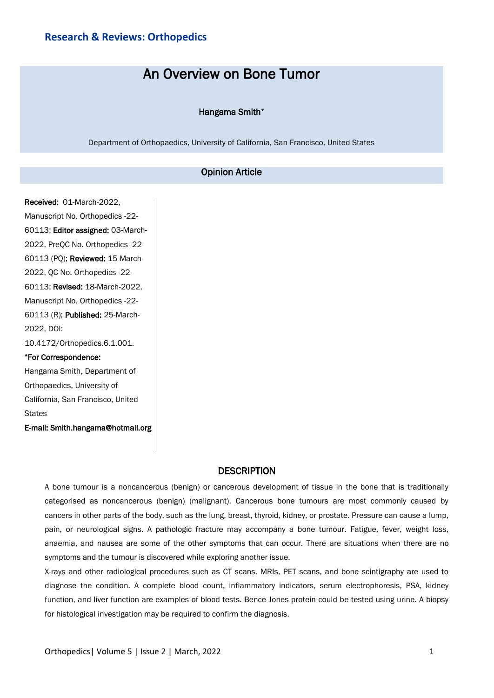## **Research & Reviews: Orthopedics**

# An Overview on Bone Tumor

#### Hangama Smith\*

Department of Orthopaedics, University of California, San Francisco, United States

### Opinion Article

Received: 01-March-2022, Manuscript No. Orthopedics -22- 60113; Editor assigned: 03-March-2022, PreQC No. Orthopedics -22- 60113 (PQ); Reviewed: 15-March-2022, QC No. Orthopedics -22- 60113; Revised: 18-March-2022, Manuscript No. Orthopedics -22- 60113 (R); Published: 25-March-2022, DOI: 10.4172/Orthopedics.6.1.001. \*For Correspondence: Hangama Smith, Department of

Orthopaedics, University of California, San Francisco, United **States** 

E-mail: Smith.hangama@hotmail.org

## **DESCRIPTION**

A bone tumour is a noncancerous (benign) or cancerous development of tissue in the bone that is traditionally categorised as noncancerous (benign) (malignant). Cancerous bone tumours are most commonly caused by cancers in other parts of the body, such as the lung, breast, thyroid, kidney, or prostate. Pressure can cause a lump, pain, or neurological signs. A pathologic fracture may accompany a bone tumour. Fatigue, fever, weight loss, anaemia, and nausea are some of the other symptoms that can occur. There are situations when there are no symptoms and the tumour is discovered while exploring another issue.

X-rays and other radiological procedures such as CT scans, MRIs, PET scans, and bone scintigraphy are used to diagnose the condition. A complete blood count, inflammatory indicators, serum electrophoresis, PSA, kidney function, and liver function are examples of blood tests. Bence Jones protein could be tested using urine. A biopsy for histological investigation may be required to confirm the diagnosis.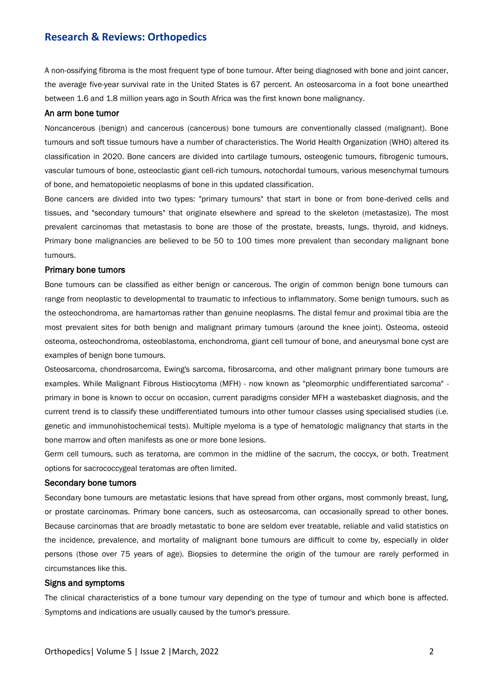## **Research & Reviews: Orthopedics**

A non-ossifying fibroma is the most frequent type of bone tumour. After being diagnosed with bone and joint cancer, the average five-year survival rate in the United States is 67 percent. An osteosarcoma in a foot bone unearthed between 1.6 and 1.8 million years ago in South Africa was the first known bone malignancy.

#### An arm bone tumor

Noncancerous (benign) and cancerous (cancerous) bone tumours are conventionally classed (malignant). Bone tumours and soft tissue tumours have a number of characteristics. The World Health Organization (WHO) altered its classification in 2020. Bone cancers are divided into cartilage tumours, osteogenic tumours, fibrogenic tumours, vascular tumours of bone, osteoclastic giant cell-rich tumours, notochordal tumours, various mesenchymal tumours of bone, and hematopoietic neoplasms of bone in this updated classification.

Bone cancers are divided into two types: "primary tumours" that start in bone or from bone-derived cells and tissues, and "secondary tumours" that originate elsewhere and spread to the skeleton (metastasize). The most prevalent carcinomas that metastasis to bone are those of the prostate, breasts, lungs, thyroid, and kidneys. Primary bone malignancies are believed to be 50 to 100 times more prevalent than secondary malignant bone tumours.

#### Primary bone tumors

Bone tumours can be classified as either benign or cancerous. The origin of common benign bone tumours can range from neoplastic to developmental to traumatic to infectious to inflammatory. Some benign tumours, such as the osteochondroma, are hamartomas rather than genuine neoplasms. The distal femur and proximal tibia are the most prevalent sites for both benign and malignant primary tumours (around the knee joint). Osteoma, osteoid osteoma, osteochondroma, osteoblastoma, enchondroma, giant cell tumour of bone, and aneurysmal bone cyst are examples of benign bone tumours.

Osteosarcoma, chondrosarcoma, Ewing's sarcoma, fibrosarcoma, and other malignant primary bone tumours are examples. While Malignant Fibrous Histiocytoma (MFH) - now known as "pleomorphic undifferentiated sarcoma" primary in bone is known to occur on occasion, current paradigms consider MFH a wastebasket diagnosis, and the current trend is to classify these undifferentiated tumours into other tumour classes using specialised studies (i.e. genetic and immunohistochemical tests). Multiple myeloma is a type of hematologic malignancy that starts in the bone marrow and often manifests as one or more bone lesions.

Germ cell tumours, such as teratoma, are common in the midline of the sacrum, the coccyx, or both. Treatment options for sacrococcygeal teratomas are often limited.

#### Secondary bone tumors

Secondary bone tumours are metastatic lesions that have spread from other organs, most commonly breast, lung, or prostate carcinomas. Primary bone cancers, such as osteosarcoma, can occasionally spread to other bones. Because carcinomas that are broadly metastatic to bone are seldom ever treatable, reliable and valid statistics on the incidence, prevalence, and mortality of malignant bone tumours are difficult to come by, especially in older persons (those over 75 years of age). Biopsies to determine the origin of the tumour are rarely performed in circumstances like this.

#### Signs and symptoms

The clinical characteristics of a bone tumour vary depending on the type of tumour and which bone is affected. Symptoms and indications are usually caused by the tumor's pressure.